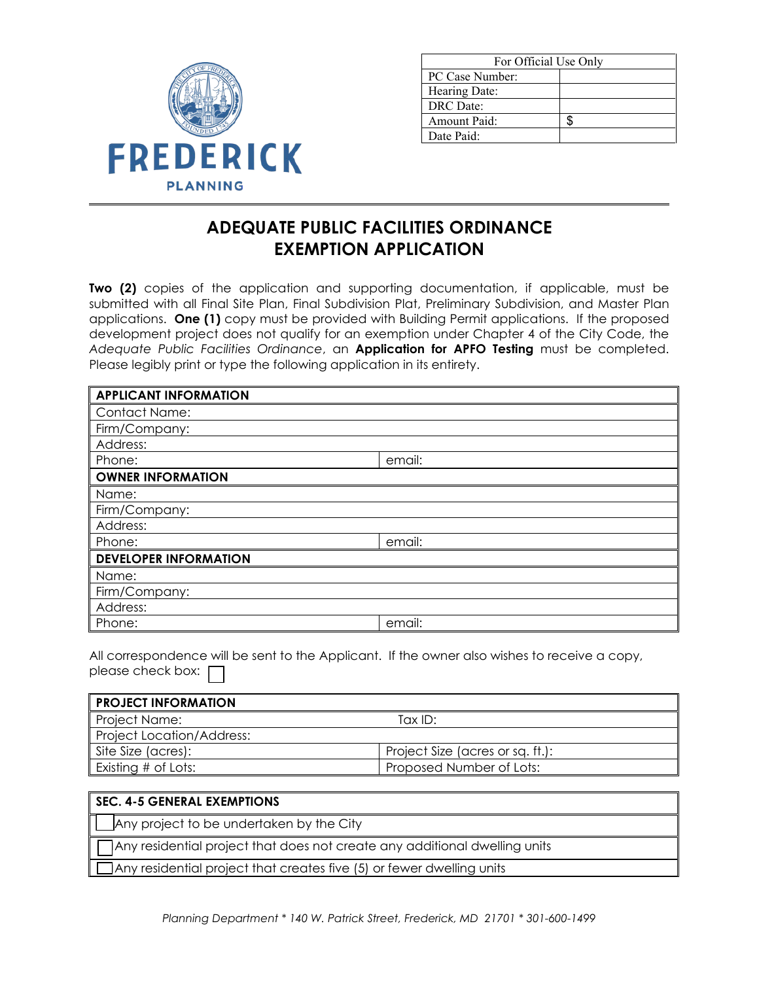

| For Official Use Only |  |
|-----------------------|--|
| PC Case Number:       |  |
| Hearing Date:         |  |
| DRC Date:             |  |
| Amount Paid:          |  |
| Date Paid:            |  |

## **ADEQUATE PUBLIC FACILITIES ORDINANCE EXEMPTION APPLICATION**

**Two (2)** copies of the application and supporting documentation, if applicable, must be submitted with all Final Site Plan, Final Subdivision Plat, Preliminary Subdivision, and Master Plan applications. **One (1)** copy must be provided with Building Permit applications. If the proposed development project does not qualify for an exemption under Chapter 4 of the City Code, the *Adequate Public Facilities Ordinance*, an **Application for APFO Testing** must be completed. Please legibly print or type the following application in its entirety.

| <b>APPLICANT INFORMATION</b> |        |
|------------------------------|--------|
| <b>Contact Name:</b>         |        |
| Firm/Company:                |        |
| Address:                     |        |
| Phone:                       | email: |
| <b>OWNER INFORMATION</b>     |        |
| Name:                        |        |
| Firm/Company:                |        |
| Address:                     |        |
| Phone:                       | email: |
| <b>DEVELOPER INFORMATION</b> |        |
| Name:                        |        |
| Firm/Company:                |        |
| Address:                     |        |
| Phone:                       | email: |

All correspondence will be sent to the Applicant. If the owner also wishes to receive a copy, please check box:  $\Box$ 

| <b>PROJECT INFORMATION</b>       |                                  |
|----------------------------------|----------------------------------|
| <b>Project Name:</b>             | Tax ID:                          |
| <b>Project Location/Address:</b> |                                  |
| Site Size (acres):               | Project Size (acres or sq. ft.): |
| Existing # of Lots:              | Proposed Number of Lots:         |

## **SEC. 4-5 GENERAL EXEMPTIONS**

Any project to be undertaken by the City

Any residential project that does not create any additional dwelling units

Any residential project that creates five (5) or fewer dwelling units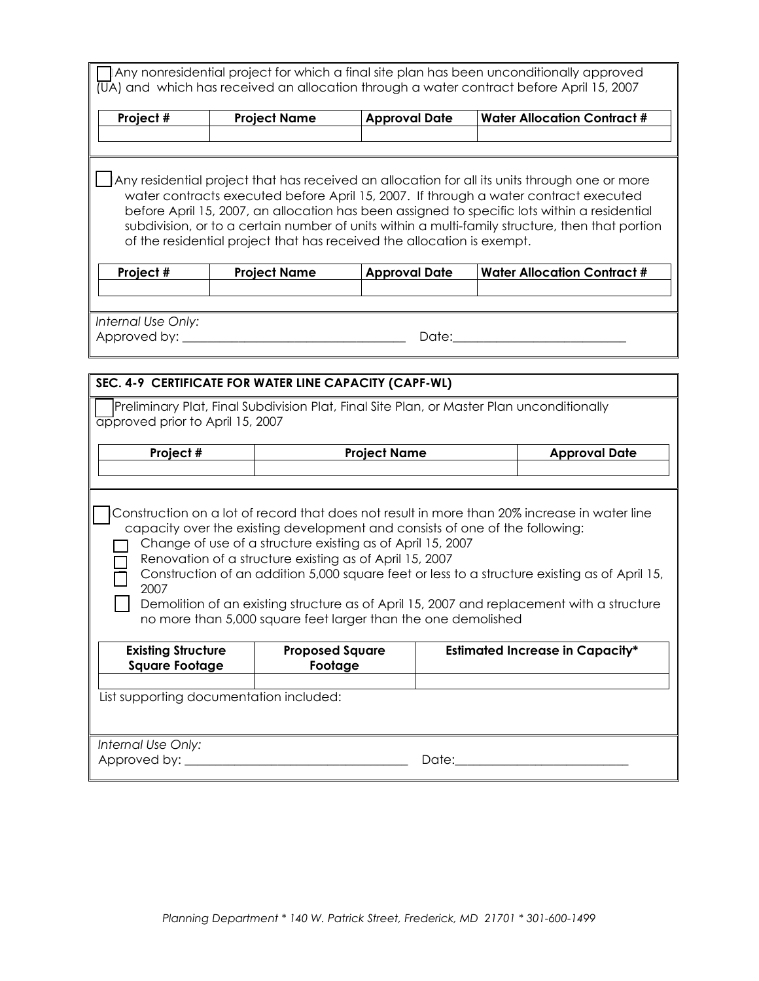|                                                    |                                                                                                                                                                                                                                                                        |                      | ] Any nonresidential project for which a final site plan has been unconditionally approved<br>$\overline{U}$ A) and which has received an allocation through a water contract before April 15, 2007                                                                                                                                                                                             |
|----------------------------------------------------|------------------------------------------------------------------------------------------------------------------------------------------------------------------------------------------------------------------------------------------------------------------------|----------------------|-------------------------------------------------------------------------------------------------------------------------------------------------------------------------------------------------------------------------------------------------------------------------------------------------------------------------------------------------------------------------------------------------|
| Project #                                          | <b>Project Name</b>                                                                                                                                                                                                                                                    | <b>Approval Date</b> | <b>Water Allocation Contract #</b>                                                                                                                                                                                                                                                                                                                                                              |
|                                                    |                                                                                                                                                                                                                                                                        |                      |                                                                                                                                                                                                                                                                                                                                                                                                 |
|                                                    |                                                                                                                                                                                                                                                                        |                      |                                                                                                                                                                                                                                                                                                                                                                                                 |
|                                                    | of the residential project that has received the allocation is exempt.                                                                                                                                                                                                 |                      | $\Box$ Any residential project that has received an allocation for all its units through one or more<br>water contracts executed before April 15, 2007. If through a water contract executed<br>before April 15, 2007, an allocation has been assigned to specific lots within a residential<br>subdivision, or to a certain number of units within a multi-family structure, then that portion |
| Project #                                          | <b>Project Name</b>                                                                                                                                                                                                                                                    | <b>Approval Date</b> | <b>Water Allocation Contract #</b>                                                                                                                                                                                                                                                                                                                                                              |
|                                                    |                                                                                                                                                                                                                                                                        |                      |                                                                                                                                                                                                                                                                                                                                                                                                 |
|                                                    |                                                                                                                                                                                                                                                                        |                      |                                                                                                                                                                                                                                                                                                                                                                                                 |
| Internal Use Only:<br>Approved by: __              |                                                                                                                                                                                                                                                                        | Date:                |                                                                                                                                                                                                                                                                                                                                                                                                 |
|                                                    |                                                                                                                                                                                                                                                                        |                      |                                                                                                                                                                                                                                                                                                                                                                                                 |
|                                                    | SEC. 4-9 CERTIFICATE FOR WATER LINE CAPACITY (CAPF-WL)                                                                                                                                                                                                                 |                      |                                                                                                                                                                                                                                                                                                                                                                                                 |
| approved prior to April 15, 2007                   |                                                                                                                                                                                                                                                                        |                      | Preliminary Plat, Final Subdivision Plat, Final Site Plan, or Master Plan unconditionally                                                                                                                                                                                                                                                                                                       |
| Project #                                          |                                                                                                                                                                                                                                                                        | <b>Project Name</b>  | <b>Approval Date</b>                                                                                                                                                                                                                                                                                                                                                                            |
|                                                    |                                                                                                                                                                                                                                                                        |                      |                                                                                                                                                                                                                                                                                                                                                                                                 |
| 2007                                               | capacity over the existing development and consists of one of the following:<br>Change of use of a structure existing as of April 15, 2007<br>Renovation of a structure existing as of April 15, 2007<br>no more than 5,000 square feet larger than the one demolished |                      | Construction on a lot of record that does not result in more than 20% increase in water line<br>Construction of an addition 5,000 square feet or less to a structure existing as of April 15,<br>Demolition of an existing structure as of April 15, 2007 and replacement with a structure                                                                                                      |
| <b>Existing Structure</b><br><b>Square Footage</b> | <b>Proposed Square</b><br>Footage                                                                                                                                                                                                                                      |                      | <b>Estimated Increase in Capacity*</b>                                                                                                                                                                                                                                                                                                                                                          |
|                                                    | List supporting documentation included:                                                                                                                                                                                                                                |                      |                                                                                                                                                                                                                                                                                                                                                                                                 |
| Internal Use Only:<br>Approved by: __              |                                                                                                                                                                                                                                                                        | Date:                |                                                                                                                                                                                                                                                                                                                                                                                                 |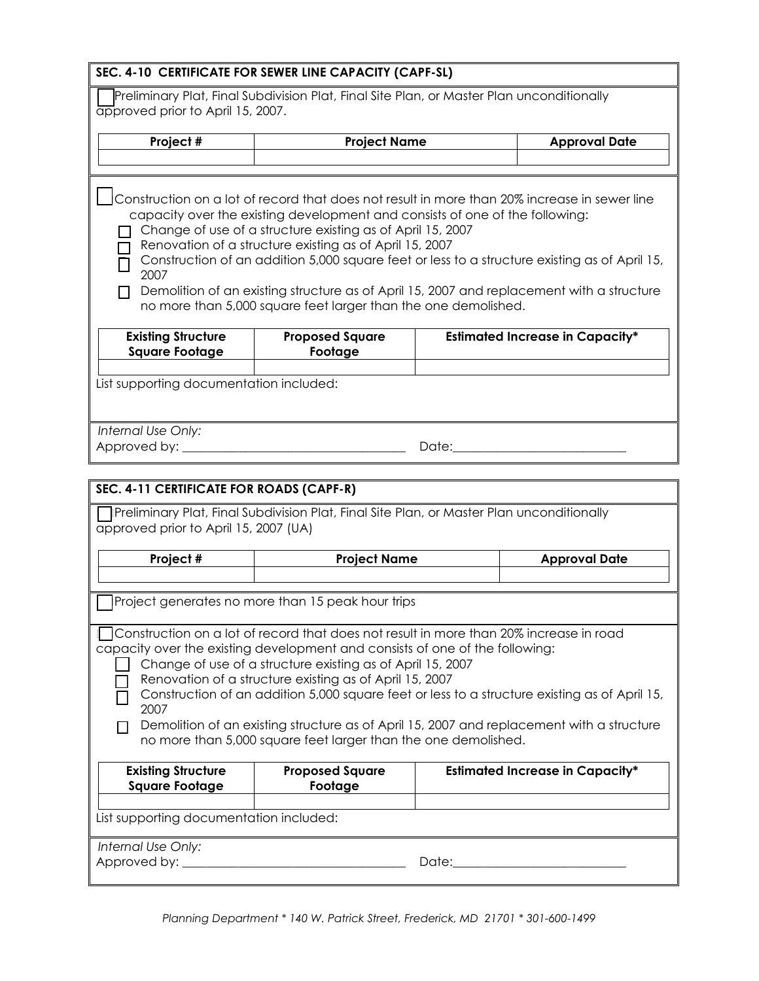|                                                                | SEC. 4-10 CERTIFICATE FOR SEWER LINE CAPACITY (CAPF-SL)                                                                                                                                                                                                                                                                                                                                                                                                                                                                                                         |                      |                                        |
|----------------------------------------------------------------|-----------------------------------------------------------------------------------------------------------------------------------------------------------------------------------------------------------------------------------------------------------------------------------------------------------------------------------------------------------------------------------------------------------------------------------------------------------------------------------------------------------------------------------------------------------------|----------------------|----------------------------------------|
|                                                                | Preliminary Plat, Final Subdivision Plat, Final Site Plan, or Master Plan unconditionally                                                                                                                                                                                                                                                                                                                                                                                                                                                                       |                      |                                        |
| approved prior to April 15, 2007.                              |                                                                                                                                                                                                                                                                                                                                                                                                                                                                                                                                                                 |                      |                                        |
| Project #                                                      | <b>Project Name</b>                                                                                                                                                                                                                                                                                                                                                                                                                                                                                                                                             |                      | <b>Approval Date</b>                   |
|                                                                |                                                                                                                                                                                                                                                                                                                                                                                                                                                                                                                                                                 |                      |                                        |
| 2007                                                           | Construction on a lot of record that does not result in more than 20% increase in sewer line<br>capacity over the existing development and consists of one of the following:<br>Change of use of a structure existing as of April 15, 2007<br>Renovation of a structure existing as of April 15, 2007<br>Construction of an addition 5,000 square feet or less to a structure existing as of April 15,                                                                                                                                                          |                      |                                        |
|                                                                | Demolition of an existing structure as of April 15, 2007 and replacement with a structure<br>no more than 5,000 square feet larger than the one demolished.                                                                                                                                                                                                                                                                                                                                                                                                     |                      |                                        |
| <b>Existing Structure</b><br><b>Square Footage</b>             | <b>Proposed Square</b><br>Footage                                                                                                                                                                                                                                                                                                                                                                                                                                                                                                                               |                      | <b>Estimated Increase in Capacity*</b> |
| List supporting documentation included:                        |                                                                                                                                                                                                                                                                                                                                                                                                                                                                                                                                                                 |                      |                                        |
| Internal Use Only:<br>SEC. 4-11 CERTIFICATE FOR ROADS (CAPF-R) |                                                                                                                                                                                                                                                                                                                                                                                                                                                                                                                                                                 | Date:_______________ |                                        |
| approved prior to April 15, 2007 (UA)                          | Preliminary Plat, Final Subdivision Plat, Final Site Plan, or Master Plan unconditionally                                                                                                                                                                                                                                                                                                                                                                                                                                                                       |                      |                                        |
| Project #                                                      | <b>Project Name</b>                                                                                                                                                                                                                                                                                                                                                                                                                                                                                                                                             |                      | <b>Approval Date</b>                   |
|                                                                | Project generates no more than 15 peak hour trips                                                                                                                                                                                                                                                                                                                                                                                                                                                                                                               |                      |                                        |
| 2007                                                           | Construction on a lot of record that does not result in more than 20% increase in road<br>capacity over the existing development and consists of one of the following:<br>Change of use of a structure existing as of April 15, 2007<br>Renovation of a structure existing as of April 15, 2007<br>Construction of an addition 5,000 square feet or less to a structure existing as of April 15,<br>Demolition of an existing structure as of April 15, 2007 and replacement with a structure<br>no more than 5,000 square feet larger than the one demolished. |                      |                                        |
| <b>Existing Structure</b><br><b>Square Footage</b>             | <b>Proposed Square</b><br>Footage                                                                                                                                                                                                                                                                                                                                                                                                                                                                                                                               |                      | <b>Estimated Increase in Capacity*</b> |
| List supporting documentation included:                        |                                                                                                                                                                                                                                                                                                                                                                                                                                                                                                                                                                 |                      |                                        |
| Internal Use Only:<br>Approved by: ________                    |                                                                                                                                                                                                                                                                                                                                                                                                                                                                                                                                                                 | Date:__________      |                                        |
|                                                                |                                                                                                                                                                                                                                                                                                                                                                                                                                                                                                                                                                 |                      |                                        |